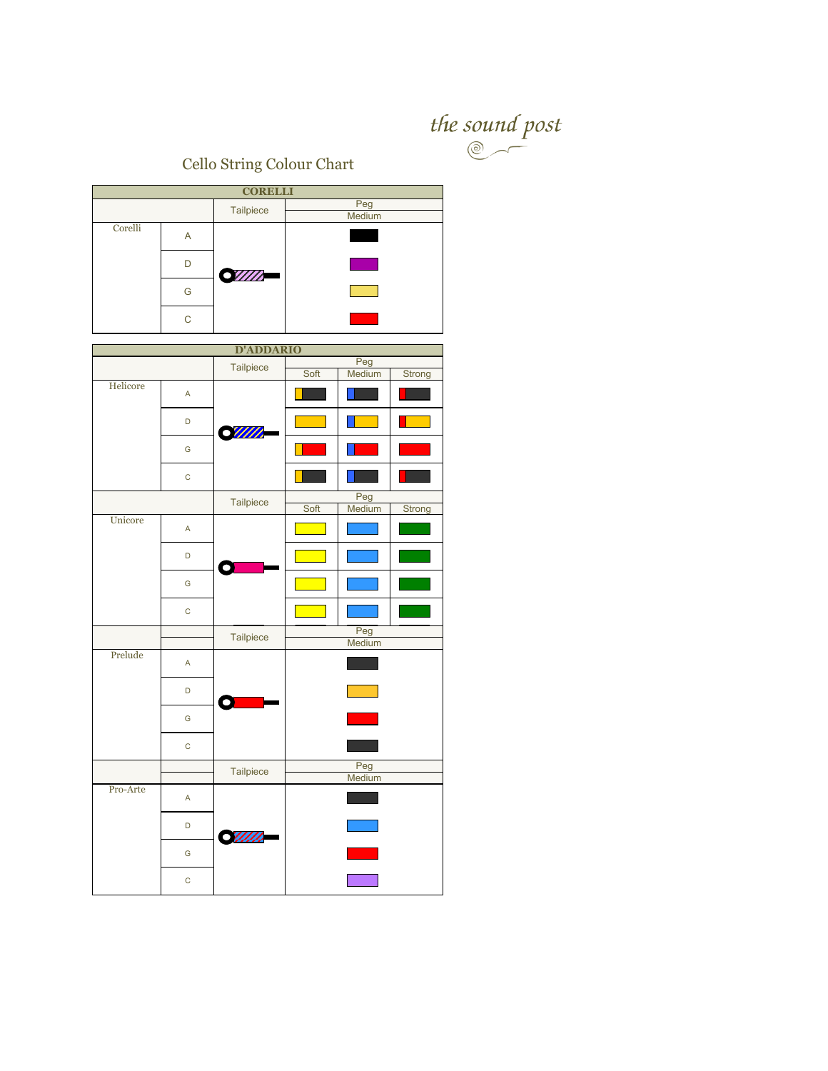

Cello String Colour Chart

| <b>CORELLI</b> |              |                  |                                 |  |  |  |
|----------------|--------------|------------------|---------------------------------|--|--|--|
|                |              | Tailpiece        | Peg                             |  |  |  |
| Corelli        |              |                  | Medium                          |  |  |  |
|                | A            |                  |                                 |  |  |  |
|                | D            |                  |                                 |  |  |  |
|                |              | <b>SIIII</b>     |                                 |  |  |  |
|                | G            |                  |                                 |  |  |  |
|                |              |                  |                                 |  |  |  |
|                | $\mathsf C$  |                  |                                 |  |  |  |
|                |              | <b>D'ADDARIO</b> |                                 |  |  |  |
|                |              |                  | Peg                             |  |  |  |
|                |              | Tailpiece        | Soft<br>Medium<br>Strong        |  |  |  |
| Helicore       | $\mathsf A$  |                  |                                 |  |  |  |
|                | D            | ·WIII            |                                 |  |  |  |
|                | G            |                  |                                 |  |  |  |
|                | $\mathsf C$  |                  |                                 |  |  |  |
|                |              | Tailpiece        | Peg<br>Soft<br>Medium<br>Strong |  |  |  |
| Unicore        |              |                  |                                 |  |  |  |
|                | A            |                  |                                 |  |  |  |
|                | D            |                  |                                 |  |  |  |
|                | G            |                  |                                 |  |  |  |
|                | $\mathsf{C}$ |                  |                                 |  |  |  |
|                |              | Tailpiece        | Peg                             |  |  |  |
| Prelude        |              |                  | Medium                          |  |  |  |
|                | $\mathsf A$  |                  |                                 |  |  |  |
|                | D            |                  |                                 |  |  |  |
|                | G            |                  |                                 |  |  |  |
|                | $\mathsf C$  |                  |                                 |  |  |  |
|                |              | Tailpiece        | Peg                             |  |  |  |
| Pro-Arte       |              |                  | Medium                          |  |  |  |
|                | A            |                  |                                 |  |  |  |
|                | D            | <b>SWIII</b>     |                                 |  |  |  |
|                | G            |                  |                                 |  |  |  |
|                | $\mathsf C$  |                  |                                 |  |  |  |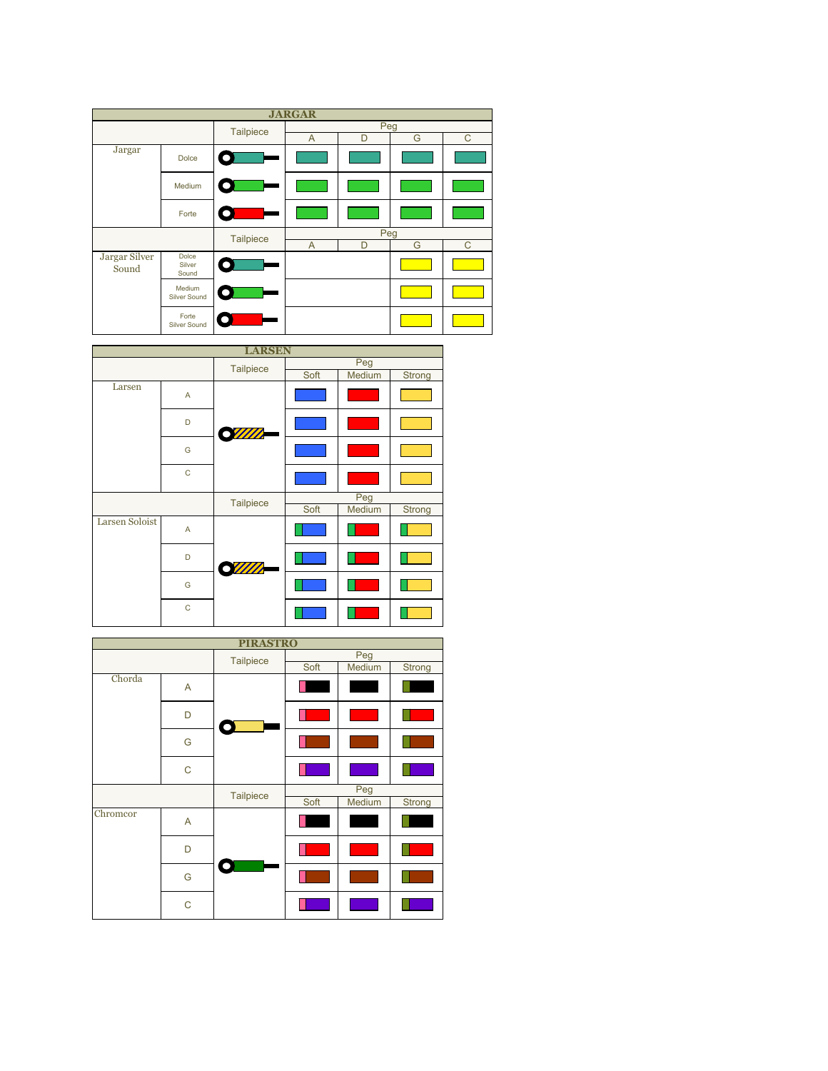| <b>JARGAR</b>          |                                 |                  |                |   |   |   |  |
|------------------------|---------------------------------|------------------|----------------|---|---|---|--|
|                        |                                 | <b>Tailpiece</b> | Peg            |   |   |   |  |
|                        |                                 |                  | A              | D | G | C |  |
| Jargar                 | <b>Dolce</b>                    |                  |                |   |   |   |  |
|                        | Medium                          |                  |                |   |   |   |  |
|                        | Forte                           |                  |                |   |   |   |  |
|                        |                                 | <b>Tailpiece</b> | Peg            |   |   |   |  |
|                        |                                 |                  | $\overline{A}$ | D | G | C |  |
| Jargar Silver<br>Sound | <b>Dolce</b><br>Silver<br>Sound |                  |                |   |   |   |  |
|                        | Medium<br>Silver Sound          |                  |                |   |   |   |  |
|                        | Forte<br><b>Silver Sound</b>    |                  |                |   |   |   |  |



| <b>PIRASTRO</b> |             |                  |      |        |        |  |
|-----------------|-------------|------------------|------|--------|--------|--|
|                 |             | <b>Tailpiece</b> | Peg  |        |        |  |
|                 |             |                  | Soft | Medium | Strong |  |
| Chorda          | A           |                  |      |        |        |  |
|                 | D           | O                |      |        |        |  |
|                 | G           |                  |      |        |        |  |
|                 | $\mathsf C$ |                  |      |        |        |  |
|                 |             | <b>Tailpiece</b> | Peg  |        |        |  |
|                 |             |                  | Soft | Medium | Strong |  |
| Chromcor        | A           |                  |      |        |        |  |
|                 | D           | ∩                |      |        |        |  |
|                 | G           |                  |      |        |        |  |
|                 | C           |                  |      |        |        |  |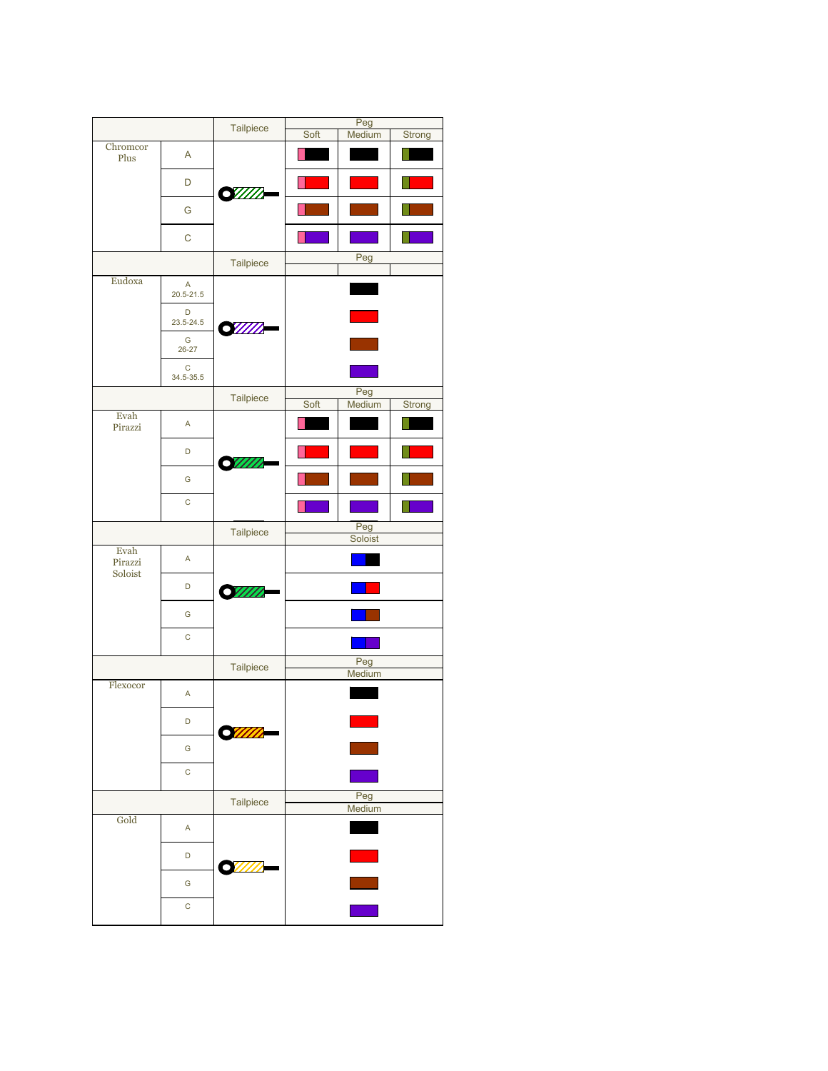|                 |                    | Tailpiece    | Peg            |        |        |  |  |
|-----------------|--------------------|--------------|----------------|--------|--------|--|--|
| Chromcor        |                    |              | Soft           | Medium | Strong |  |  |
| Plus            | A                  |              |                |        |        |  |  |
|                 | D                  | <b>SWIII</b> |                |        |        |  |  |
|                 | G                  |              |                |        |        |  |  |
|                 | $\mathsf{C}$       |              |                |        |        |  |  |
|                 |                    | Tailpiece    | Peg            |        |        |  |  |
| Eudoxa          | A<br>$20.5 - 21.5$ |              |                |        |        |  |  |
|                 | D<br>23.5-24.5     |              |                |        |        |  |  |
|                 | G<br>$26 - 27$     | <b>S</b> WM  |                |        |        |  |  |
|                 | C<br>34.5-35.5     |              |                |        |        |  |  |
|                 |                    | Tailpiece    |                | Peg    |        |  |  |
|                 |                    |              | Soft           | Medium | Strong |  |  |
| Evah<br>Pirazzi | A                  |              |                |        |        |  |  |
|                 | D                  |              |                |        |        |  |  |
|                 | G                  |              |                |        |        |  |  |
|                 | $\mathsf C$        |              |                |        |        |  |  |
|                 |                    | Tailpiece    | Peg<br>Soloist |        |        |  |  |
| Evah<br>Pirazzi | A                  |              |                |        |        |  |  |
| Soloist         | D                  | SWM          |                |        |        |  |  |
|                 | G                  |              |                |        |        |  |  |
|                 | $\mathsf{C}$       |              |                |        |        |  |  |
|                 |                    | Tailpiece    |                | Peg    |        |  |  |
| Flexocor        | $\sf A$            |              |                | Medium |        |  |  |
|                 | D                  |              |                |        |        |  |  |
|                 | G                  |              |                |        |        |  |  |
|                 | $\mathsf C$        |              |                |        |        |  |  |
|                 |                    |              |                |        |        |  |  |
|                 |                    | Tailpiece    | Peg<br>Medium  |        |        |  |  |
| Gold            | A                  |              |                |        |        |  |  |
|                 | D                  |              |                |        |        |  |  |
|                 | G                  |              |                |        |        |  |  |
|                 | $\mathsf{C}$       |              |                |        |        |  |  |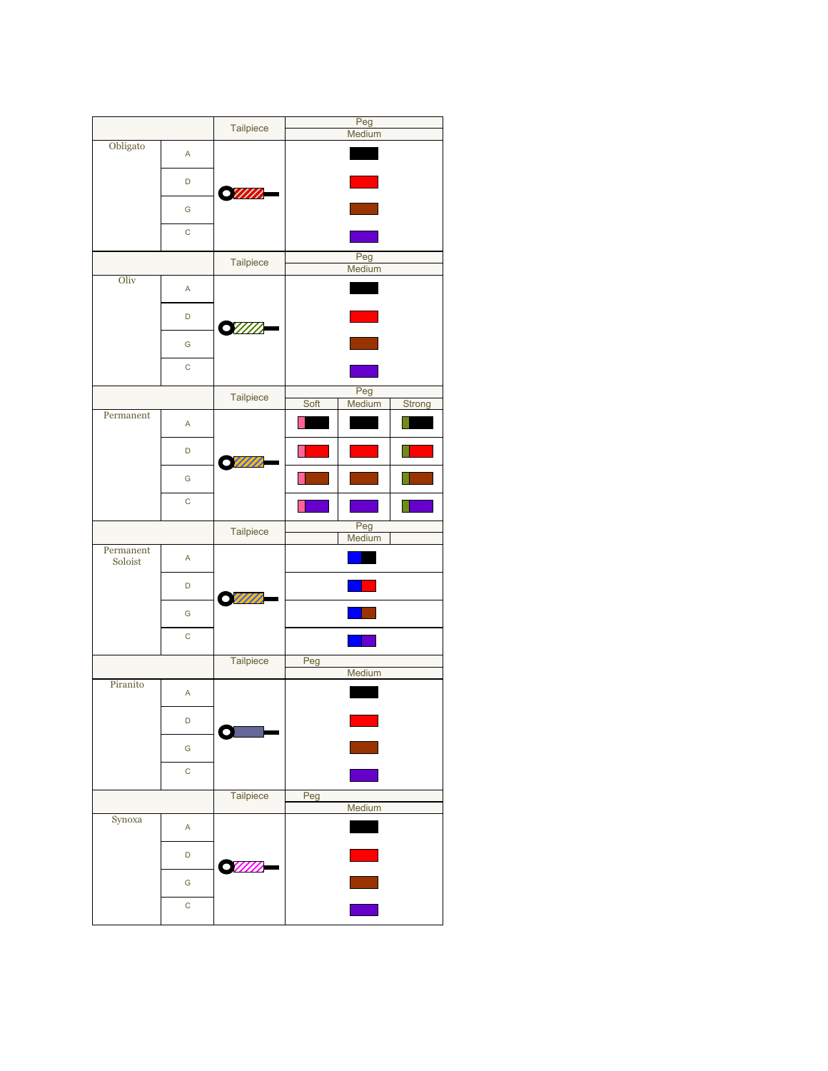|                               |              | Tailpiece | Peg           |        |        |  |  |
|-------------------------------|--------------|-----------|---------------|--------|--------|--|--|
|                               |              |           | Medium        |        |        |  |  |
| Obligato                      | A            |           |               |        |        |  |  |
|                               | D            | SWII.     |               |        |        |  |  |
|                               | G            |           |               |        |        |  |  |
|                               | $\mathsf C$  |           |               |        |        |  |  |
|                               |              | Tailpiece | Peg<br>Medium |        |        |  |  |
| Oliv                          | A            |           |               |        |        |  |  |
|                               | D            | SIIIII    |               |        |        |  |  |
|                               | G            |           |               |        |        |  |  |
|                               | C            |           |               |        |        |  |  |
|                               |              | Tailpiece |               | Peg    |        |  |  |
| Permanent                     |              |           | Soft          | Medium | Strong |  |  |
|                               | A            |           |               |        |        |  |  |
|                               | D            |           |               |        |        |  |  |
|                               | G            |           |               |        |        |  |  |
|                               | $\mathsf C$  |           |               |        |        |  |  |
|                               |              | Tailpiece | Peg<br>Medium |        |        |  |  |
| $\mbox{Permanent}$<br>Soloist | A            |           |               |        |        |  |  |
|                               | D            | mm        |               |        |        |  |  |
|                               | G            |           |               |        |        |  |  |
|                               | C            |           |               |        |        |  |  |
|                               |              | Tailpiece | Peg           |        |        |  |  |
| Piranito                      |              |           |               | Medium |        |  |  |
|                               | A            |           |               |        |        |  |  |
|                               | D            |           |               |        |        |  |  |
|                               | G            |           |               |        |        |  |  |
|                               | $\mathsf{C}$ |           |               |        |        |  |  |
|                               |              | Tailpiece | Peg           |        |        |  |  |
| Synoxa                        | A            |           |               | Medium |        |  |  |
|                               | D            |           |               |        |        |  |  |
|                               | G            |           |               |        |        |  |  |
|                               | C            |           |               |        |        |  |  |